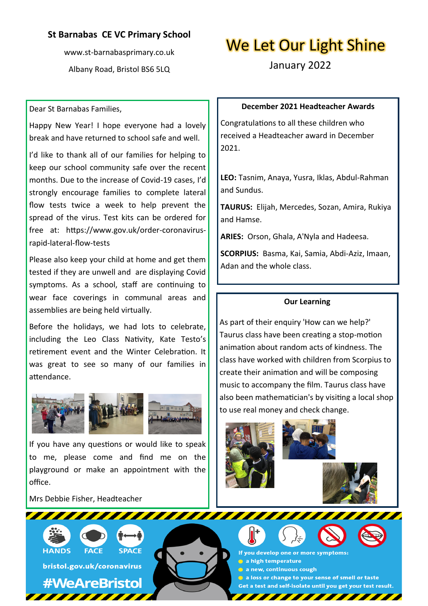## **St Barnabas CE VC Primary School**

www.st-barnabasprimary.co.uk Albany Road, Bristol BS6 5LQ

# We Let Our Light Shine

January 2022

#### Dear St Barnabas Families,

Happy New Year! I hope everyone had a lovely break and have returned to school safe and well.

I'd like to thank all of our families for helping to keep our school community safe over the recent months. Due to the increase of Covid-19 cases, I'd strongly encourage families to complete lateral flow tests twice a week to help prevent the spread of the virus. Test kits can be ordered for free at: https://www.gov.uk/order-coronavirusrapid-lateral-flow-tests

Please also keep your child at home and get them tested if they are unwell and are displaying Covid symptoms. As a school, staff are continuing to wear face coverings in communal areas and assemblies are being held virtually.

Before the holidays, we had lots to celebrate, including the Leo Class Nativity, Kate Testo's retirement event and the Winter Celebration. It was great to see so many of our families in attendance.



If you have any questions or would like to speak to me, please come and find me on the playground or make an appointment with the office.

Mrs Debbie Fisher, Headteacher



**FACE SPACE** 

bristol.gov.uk/coronavirus

# **#WeAreBristol**

**December 2021 Headteacher Awards**

Congratulations to all these children who received a Headteacher award in December 2021.

**LEO:** Tasnim, Anaya, Yusra, Iklas, Abdul-Rahman and Sundus.

**TAURUS:** Elijah, Mercedes, Sozan, Amira, Rukiya and Hamse.

**ARIES:** Orson, Ghala, A'Nyla and Hadeesa.

**SCORPIUS:** Basma, Kai, Samia, Abdi-Aziz, Imaan, Adan and the whole class.

#### **Our Learning**

As part of their enquiry 'How can we help?' Taurus class have been creating a stop-motion animation about random acts of kindness. The class have worked with children from Scorpius to create their animation and will be composing music to accompany the film. Taurus class have also been mathematician's by visiting a local shop to use real money and check change.

If you develop one or more symptoms: a high temperature a new, continuous cough a loss or change to your sense of smell or taste Get a test and self-isolate until you get your test result.